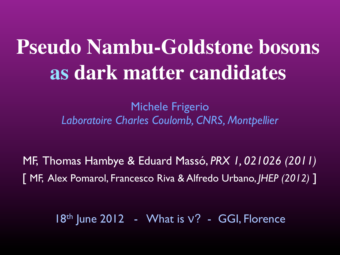## **Pseudo Nambu-Goldstone bosons as dark matter candidates**

Michele Frigerio *Laboratoire Charles Coulomb, CNRS, Montpellier*

MF, Thomas Hambye & Eduard Massó, *PRX 1, 021026 (2011)* [ MF, Alex Pomarol, Francesco Riva & Alfredo Urbano, *JHEP (2012)* ]

18<sup>th</sup> June 2012 - What is v? - GGI, Florence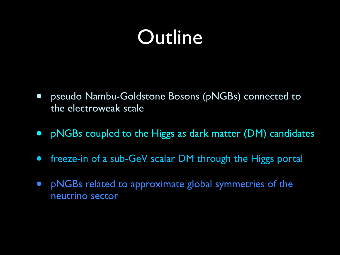## **Outline**

- pseudo Nambu-Goldstone Bosons (pNGBs) connected to the electroweak scale
- pNGBs coupled to the Higgs as dark matter (DM) candidates
- freeze-in of a sub-GeV scalar DM through the Higgs portal
- **pNGBs related to approximate global symmetries of the** neutrino sector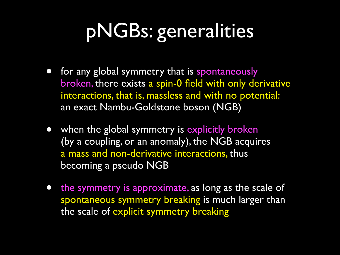## pNGBs: generalities

- for any global symmetry that is spontaneously broken, there exists a spin-0 field with only derivative interactions, that is, massless and with no potential: an exact Nambu-Goldstone boson (NGB)
- when the global symmetry is explicitly broken (by a coupling, or an anomaly), the NGB acquires a mass and non-derivative interactions, thus becoming a pseudo NGB
- the symmetry is approximate, as long as the scale of spontaneous symmetry breaking is much larger than the scale of explicit symmetry breaking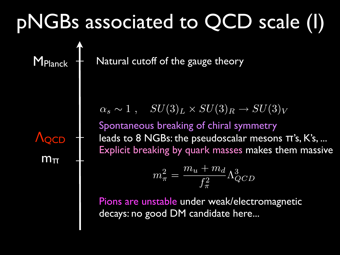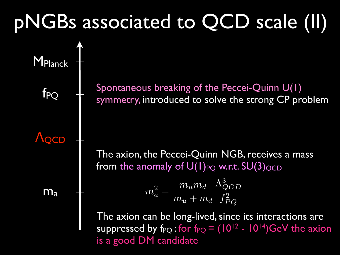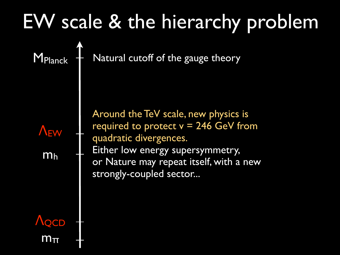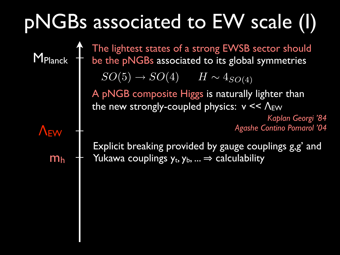## pNGBs associated to EW scale (I)

The lightest states of a strong EWSB sector should M<sub>Planck</sub> + be the pNGBs associated to its global symmetries  $SO(5) \rightarrow SO(4)$   $H \sim 4_{SO(4)}$ A pNGB composite Higgs is naturally lighter than the new strongly-coupled physics:  $v \ll \Lambda_{\text{EW}}$ *Kaplan Georgi '84 Agashe Contino Pomarol '04* ΛEW Explicit breaking provided by gauge couplings g,g' and Yukawa couplings  $y_t$ ,  $y_b$ ,  $\ldots \Rightarrow$  calculability mh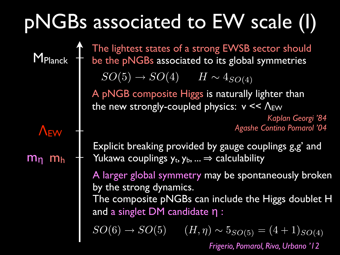## pNGBs associated to EW scale (I)

The lightest states of a strong EWSB sector should **M**Planck be the pNGBs associated to its global symmetries  $SO(5) \rightarrow SO(4)$   $H \sim 4_{SO(4)}$ A pNGB composite Higgs is naturally lighter than the new strongly-coupled physics: v << Λ<sub>EW</sub> *Kaplan Georgi '84 Agashe Contino Pomarol '04* ΛEW Explicit breaking provided by gauge couplings g,g' and <mark>m<sub>η</sub> m</mark><sub>h</sub> Yukawa couplings  $y_t, y_b, ... \Rightarrow$  calculability A larger global symmetry may be spontaneously broken by the strong dynamics. The composite pNGBs can include the Higgs doublet H and a singlet DM candidate η :  $SO(6) \rightarrow SO(5)$   $(H, \eta) \sim 5_{SO(5)} = (4+1)_{SO(4)}$ *Frigerio, Pomarol, Riva, Urbano '12*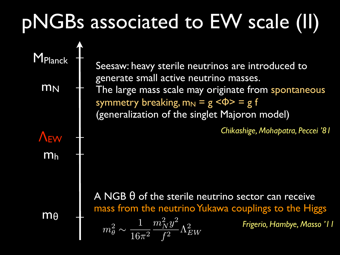## pNGBs associated to EW scale (II)

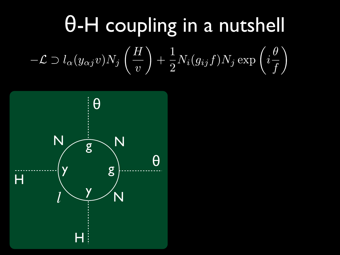$$
\theta\text{-}H \text{ coupling in a nutshell} \\ -\mathcal{L} \supset l_{\alpha}(y_{\alpha j}v)N_j\left(\frac{H}{v}\right) + \frac{1}{2}N_i(g_{ij}f)N_j \exp\left(i\frac{\theta}{f}\right)
$$

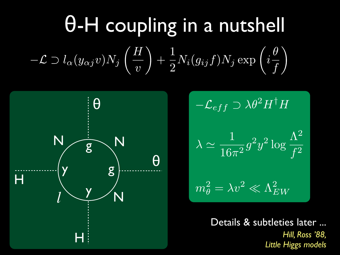$$
\theta\text{-}H \text{ coupling in a nutshell} \\ -\mathcal{L} \supset l_{\alpha}(y_{\alpha j}v)N_j\left(\frac{H}{v}\right) + \frac{1}{2}N_i(g_{ij}f)N_j \exp\left(i\frac{\theta}{f}\right)
$$



$$
-\mathcal{L}_{eff} \supset \lambda \theta^2 H^{\dagger} H
$$

$$
\lambda \simeq \frac{1}{16\pi^2} g^2 y^2 \log \frac{\Lambda^2}{f^2}
$$

$$
m_{\theta}^2 = \lambda v^2 \ll \Lambda_{EW}^2
$$

Details & subtleties later... *Hill, Ross '88, Little Higgs models*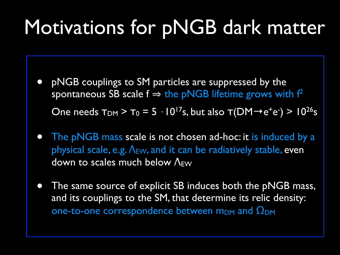## Motivations for pNGB dark matter

- pNGB couplings to SM particles are suppressed by the spontaneous SB scale  $f \Rightarrow$  the pNGB lifetime grows with  $f^2$ One needs  $T_{DM} > T_0 = 5 \cdot 10^{17}$ s, but also  $T(DM \rightarrow e^+e^-) > 10^{26}$ s
- The pNGB mass scale is not chosen ad-hoc: it is induced by a physical scale, e.g.  $\Lambda_{EW}$ , and it can be radiatively stable, even down to scales much below Λ<sub>EW</sub>
- The same source of explicit SB induces both the pNGB mass, and its couplings to the SM, that determine its relic density: one-to-one correspondence between m<sub>DM</sub> and  $\Omega_{DM}$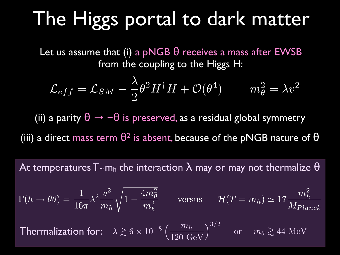### The Higgs portal to dark matter

Let us assume that (i) a  $pNGB \theta$  receives a mass after EWSB from the coupling to the Higgs H:

$$
\mathcal{L}_{eff} = \mathcal{L}_{SM} - \frac{\lambda}{2} \theta^2 H^{\dagger} H + \mathcal{O}(\theta^4) \qquad m_{\theta}^2 = \lambda v^2
$$

(ii) a parity  $\theta \rightarrow -\theta$  is preserved, as a residual global symmetry (iii) a direct mass term  $\theta^2$  is absent, because of the pNGB nature of  $\theta$ 

At temperatures T~m<sub>h</sub> the interaction  $\lambda$  may or may not thermalize  $\theta$ 

$$
\Gamma(h \to \theta \theta) = \frac{1}{16\pi} \lambda^2 \frac{v^2}{m_h} \sqrt{1 - \frac{4m_\theta^2}{m_h^2}}
$$
 versus  $\mathcal{H}(T = m_h) \simeq 17 \frac{m_h^2}{M_{Planck}}$ 

Thermalization for:  $\lambda \gtrsim 6 \times 10^{-8} \left(\frac{m_h}{120 \text{ GeV}}\right)^{3/2}$  or  $m_\theta \gtrsim 44 \text{ MeV}$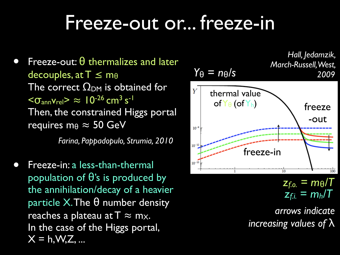#### Freeze-out or... freeze-in

Freeze-out:  $\theta$  thermalizes and later decouples, at T ≤ me The correct  $\Omega_{DM}$  is obtained for  $\langle \sigma_{\text{annVrel}} \rangle \approx 10^{-26} \text{ cm}^3 \text{ s}^{-1}$ Then, the constrained Higgs portal requires m $\theta \approx 50$  GeV

*Farina, Pappadopulo, Strumia, 2010*

• Freeze-in: a less-than-thermal population of θ's is produced by the annihilation/decay of a heavier particle X. The  $\theta$  number density reaches a plateau at  $T \approx m_X$ . In the case of the Higgs portal,  $X = h, W, Z, ...$ 

| Hall, Jedamzik,<br>March-Russell, West,<br>2009 |                                                                                                                                      |
|-------------------------------------------------|--------------------------------------------------------------------------------------------------------------------------------------|
| Y                                               | thermal value<br>of Y <sub>θ</sub> (of Y <sub>h</sub> )<br>freeze-in<br>freeze-in<br>z <sub>f</sub> . = $m_{h}/T$<br>arrows indicate |

*increasing values of* λ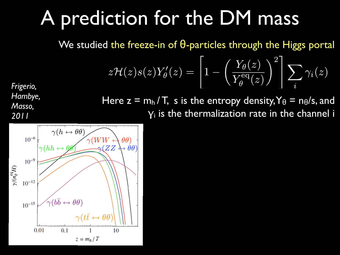## A prediction for the DM mass

We studied the freeze-in of  $\theta$ -particles through the Higgs portal

$$
z\mathcal{H}(z)s(z)Y'_{\theta}(z) = \left[1 - \left(\frac{Y_{\theta}(z)}{Y_{\theta}^{\text{eq}}(z)}\right)^2\right]\sum_{i}\gamma_i(z)
$$

*Frigerio, Hambye, Masso, 2011*

Here  $z = m_h/T$ , s is the entropy density,  $Y_\theta = n_\theta/s$ , and γi is the thermalization rate in the channel i

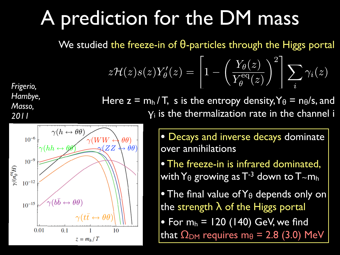## A prediction for the DM mass

We studied the freeze-in of  $\theta$ -particles through the Higgs portal

$$
z\mathcal{H}(z)s(z)Y'_{\theta}(z) = \left[1 - \left(\frac{Y_{\theta}(z)}{Y_{\theta}^{\text{eq}}(z)}\right)^{2}\right]\sum_{i}\gamma_{i}(z)
$$

*Frigerio, Hambye, Masso, 2011*

Here  $z = m_h/T$ , s is the entropy density,  $Y_\theta = n_\theta/s$ , and γi is the thermalization rate in the channel i



• Decays and inverse decays dominate over annihilations • The freeze-in is infrared dominated, with Y $\theta$  growing as T<sup>-3</sup> down to T~m<sub>h</sub> • The final value of Y $\theta$  depends only on the strength  $\lambda$  of the Higgs portal  $\bullet$  For  $m_h$  = 120 (140) GeV, we find that  $\Omega_{DM}$  requires m $\theta$  = 2.8 (3.0) MeV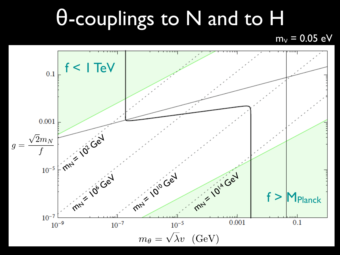#### $m_v = 0.05$  eV

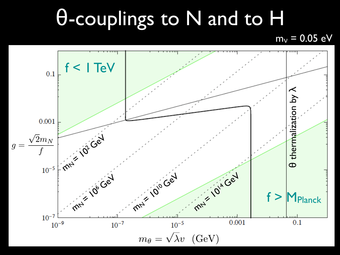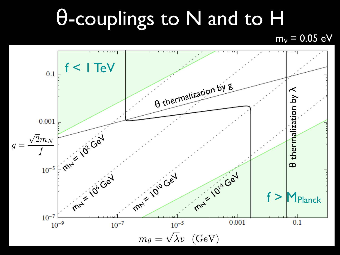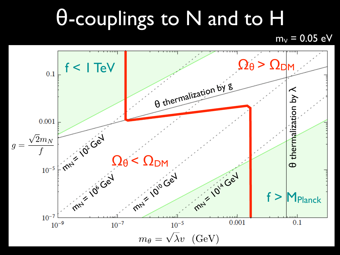$m_v = 0.05$  eV

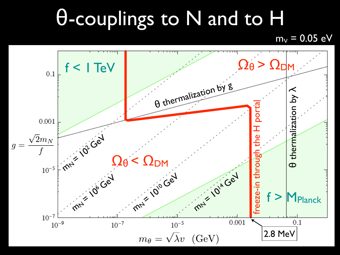$m_v = 0.05$  eV

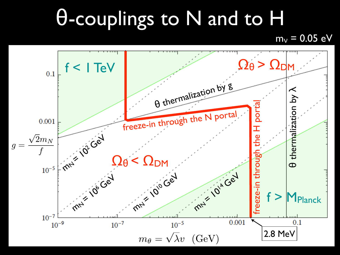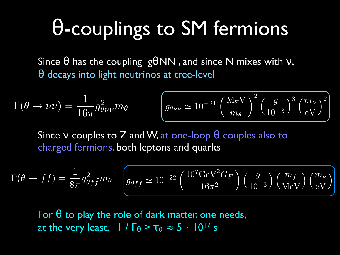## θ-couplings to SM fermions

Since θ has the coupling gθNN , and since N mixes with ν, θ decays into light neutrinos at tree-level

$$
\Gamma(\theta \to \nu \nu) = \frac{1}{16\pi} g_{\theta \nu \nu}^2 m_{\theta} \qquad \qquad \left[ g_{\theta \nu \nu} \simeq 10^{-21} \left( \frac{\text{MeV}}{m_{\theta}} \right)^2 \left( \frac{g}{10^{-3}} \right)^3 \left( \frac{m_{\nu}}{\text{eV}} \right)^2 \right]
$$

Since  $V$  couples to  $Z$  and W, at one-loop  $\theta$  couples also to charged fermions, both leptons and quarks

$$
\Gamma(\theta \to f\bar{f}) = \frac{1}{8\pi} g_{\theta f\bar{f}}^2 m_{\theta} \quad \left[ g_{\theta f\bar{f}} \simeq 10^{-22} \left( \frac{10^7 \text{GeV}^2 G_F}{16\pi^2} \right) \left( \frac{g}{10^{-3}} \right) \left( \frac{m_f}{\text{MeV}} \right) \left( \frac{m_{\nu}}{\text{eV}} \right) \right]
$$

For  $\theta$  to play the role of dark matter, one needs, at the very least,  $1 / \Gamma_{\theta} > \tau_0 \approx 5 \cdot 10^{17}$  s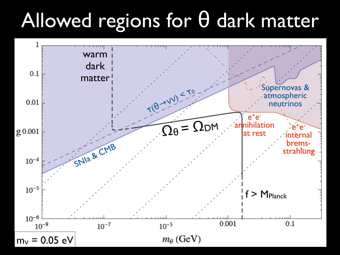## Allowed regions for θ dark matter

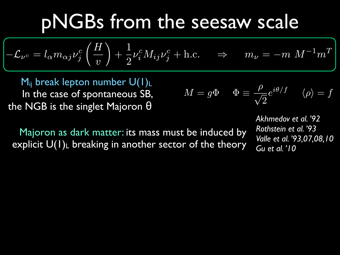## pNGBs from the seesaw scale

$$
-\mathcal{L}_{\nu^c} = l_{\alpha} m_{\alpha j} \nu_j^c \left(\frac{H}{v}\right) + \frac{1}{2} \nu_i^c M_{ij} \nu_j^c + \text{h.c.} \quad \Rightarrow \quad m_{\nu} = -m \ M^{-1} m^T
$$

M<sub>ij</sub> break lepton number U(1)L In the case of spontaneous SB, the NGB is the singlet Majoron  $\theta$ 

$$
M = g\Phi \qquad \Phi \equiv \frac{\rho}{\sqrt{2}}e^{i\theta/f} \qquad \langle \rho \rangle = f
$$

Majoron as dark matter: its mass must be induced by explicit  $U(1)$ <sub>L</sub> breaking in another sector of the theory *Akhmedov et al. '92 Rothstein et al. '93 Valle et al. '93,07,08,10 Gu et al. '10*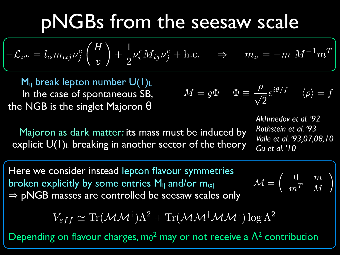## pNGBs from the seesaw scale

$$
-\mathcal{L}_{\nu^c} = l_{\alpha} m_{\alpha j} \nu_j^c \left(\frac{H}{v}\right) + \frac{1}{2} \nu_i^c M_{ij} \nu_j^c + \text{h.c.} \quad \Rightarrow \quad m_{\nu} = -m \ M^{-1} m^T
$$

M<sub>ij</sub> break lepton number U(1)L In the case of spontaneous SB, the NGB is the singlet Majoron  $\theta$ 

$$
M = g\Phi \qquad \Phi \equiv \frac{\rho}{\sqrt{2}}e^{i\theta/f} \qquad \langle \rho \rangle = f
$$

Majoron as dark matter: its mass must be induced by explicit  $U(1)$ <sub>L</sub> breaking in another sector of the theory *Akhmedov et al. '92 Rothstein et al. '93 Valle et al. '93,07,08,10 Gu et al. '10*

Here we consider instead lepton flavour symmetries  $\mathcal{M}=\left(\begin{array}{cc} 0 & m \ m^T & M \end{array}\right)$ broken explicitly by some entries  $M_{ii}$  and/or  $m_{\alpha i}$  $\Rightarrow$  pNGB masses are controlled be seesaw scales only

 $V_{eff} \simeq \text{Tr}(\mathcal{M}\mathcal{M}^{\dagger})\Lambda^{2} + \text{Tr}(\mathcal{M}\mathcal{M}^{\dagger}\mathcal{M}\mathcal{M}^{\dagger}) \log \Lambda^{2}$ 

Depending on flavour charges,  $m\theta^2$  may or not receive a  $\Lambda^2$  contribution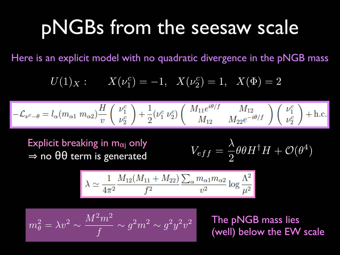## pNGBs from the seesaw scale

Here is an explicit model with no quadratic divergence in the pNGB mass

$$
U(1)_X: \qquad X(\nu_1^c)=-1, \ \ X(\nu_2^c)=1, \ \ X(\Phi)=2
$$

$$
-\mathcal{L}_{\nu^{c}-\theta} = l_{\alpha}(m_{\alpha 1} \ m_{\alpha 2})\frac{H}{v} \left(\begin{array}{c} \nu_{1}^{c} \\ \nu_{2}^{c} \end{array}\right) + \frac{1}{2}(\nu_{1}^{c} \ \nu_{2}^{c}) \left(\begin{array}{cc} M_{11}e^{i\theta/f} & M_{12} \\ M_{12} & M_{22}e^{-i\theta/f} \end{array}\right) \left(\begin{array}{c} \nu_{1}^{c} \\ \nu_{2}^{c} \end{array}\right) + \text{h.c.}
$$

Explicit breaking in  $m_{\alpha i}$  only  $\Rightarrow$  no  $\theta\theta$  term is generated

$$
V_{eff} = \frac{\lambda}{2} \theta \theta H^{\dagger} H + \mathcal{O}(\theta^4)
$$

$$
\lambda \simeq \frac{1}{4\pi^2} \frac{M_{12}(M_{11} + M_{22})}{f^2} \frac{\sum_{\alpha} m_{\alpha 1} m_{\alpha 2}}{v^2} \log \frac{\Lambda^2}{\mu^2}
$$

$$
m_{\theta}^2 = \lambda v^2 \sim \frac{M^2 m^2}{f} \sim g^2 m^2 \sim g^2 y^2 v^2
$$

The pNGB mass lies (well) below the EW scale